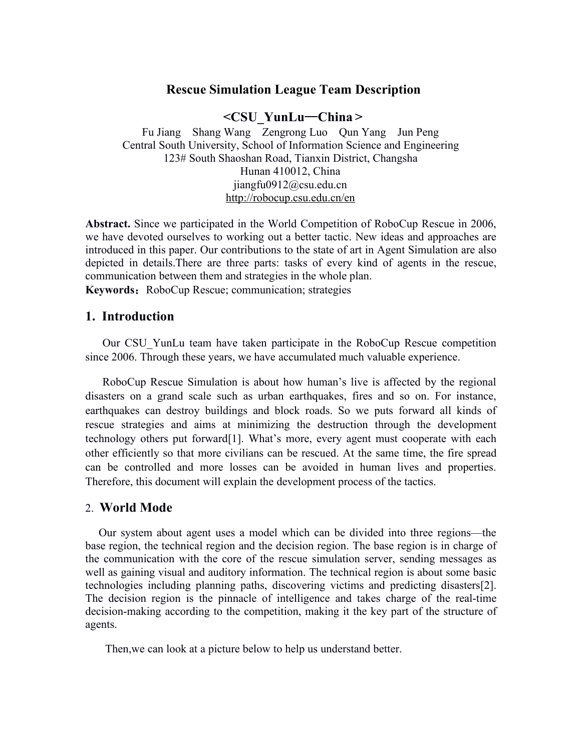# **Rescue Simulation League Team Description**

#### **<CSU\_YunLu**—**China >**

Fu Jiang Shang Wang Zengrong Luo Qun Yang Jun Peng Central South University, School of Information Science and Engineering 123# South Shaoshan Road, Tianxin District, Changsha Hunan 410012, China jiangfu0912@csu.edu.cn <http://robocup.csu.edu.cn/en>

Abstract. Since we participated in the World Competition of RoboCup Rescue in 2006, we have devoted ourselves to working out a better tactic. New ideas and approaches are introduced in this paper. Our contributions to the state of art in Agent Simulation are also depicted in details.There are three parts: tasks of every kind of agents in the rescue, communication between them and strategies in the whole plan.

**Keywords:** RoboCup Rescue; communication; strategies

## **1. Introduction**

Our CSU\_YunLu team have taken participate in the RoboCup Rescue competition since 2006. Through these years, we have accumulated much valuable experience.

RoboCup Rescue Simulation is about how human's live is affected by the regional disasters on a grand scale such as urban earthquakes, fires and so on. For instance, earthquakes can destroy buildings and block roads. So we puts forward all kinds of rescue strategies and aims at minimizing the destruction through the development technology others put forward[1]. What's more, every agent must cooperate with each other efficiently so that more civilians can be rescued. At the same time, the fire spread can be controlled and more losses can be avoided in human lives and properties. Therefore, this document will explain the development process of the tactics.

### 2. **World Mode**

Our system about agent uses a model which can be divided into three regions—the base region, the technical region and the decision region. The base region is in charge of the communication with the core of the rescue simulation server, sending messages as well as gaining visual and auditory information. The technical region is about some basic technologies including planning paths, discovering victims and predicting disasters[2]. The decision region is the pinnacle of intelligence and takes charge of the real-time decision-making according to the competition, making it the key part of the structure of agents.

Then,we can look at a picture below to help us understand better.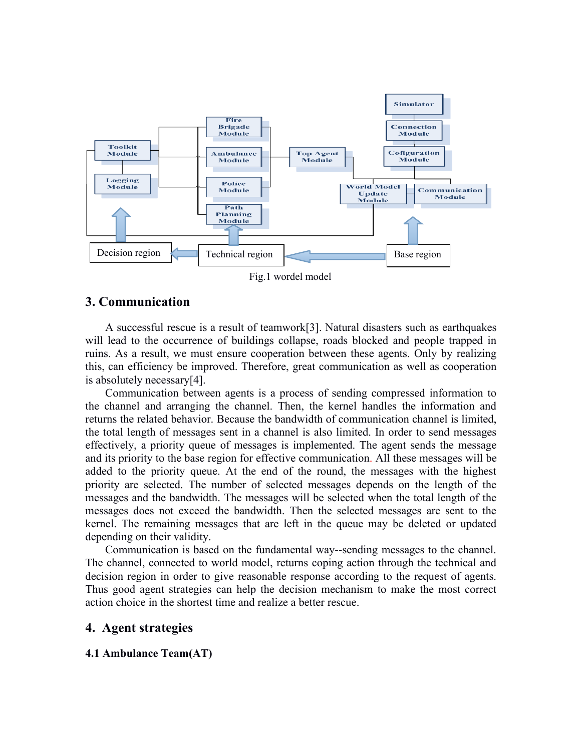

## **3. Communication**

A successful rescue is a result of teamwork[3]. Natural disasters such as earthquakes will lead to the occurrence of buildings collapse, roads blocked and people trapped in ruins. As a result, we must ensure cooperation between these agents. Only by realizing this, can efficiency be improved. Therefore, great communication as well as cooperation is absolutely necessary[4].

Communication between agents is a process of sending compressed information to the channel and arranging the channel. Then, the kernel handles the information and returns the related behavior. Because the bandwidth of communication channel is limited, the total length of messages sent in a channelis also limited. In order to send messages effectively, a priority queue of messages is implemented. The agent sends the message and its priority to the base region for effective communication. All these messages will be added to the priority queue. At the end of the round, the messages with the highest priority are selected. The number of selected messages depends on the length of the messages and the bandwidth. The messages will be selected when the total length of the messages does not exceed the bandwidth. Then the selected messages are sent to the kernel. The remaining messages that are left in the queue may be deleted or updated depending on their validity.

Communication is based on the fundamental way--sending messages to the channel. The channel, connected to world model, returns coping action through the technical and decision region in order to give reasonable response according to the request of agents. Thus good agent strategies can help the decision mechanism to make the most correct action choice in the shortest time and realize a better rescue.

## **4. Agent strategies**

### **4.1 Ambulance Team(AT)**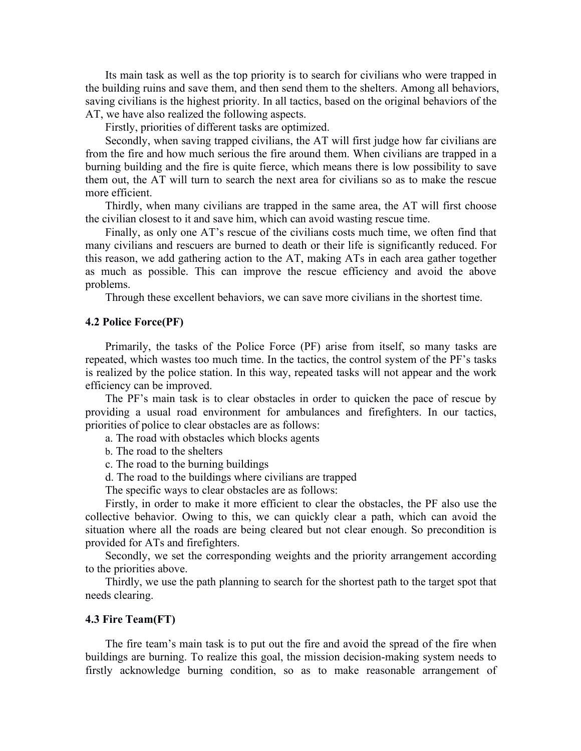Its main task as well as the top priority is to search for civilians who were trapped in the building ruins and save them, and then send them to the shelters. Among all behaviors, saving civilians is the highest priority. In all tactics, based on the original behaviors of the AT, we have also realized the following aspects.

Firstly, priorities of different tasks are optimized.

Secondly, when saving trapped civilians, the AT will first judge how far civilians are from the fire and how much serious the fire around them. When civilians are trapped in a burning building and the fire is quite fierce, which means there is low possibility to save them out, the AT will turn to search the next area for civilians so as to make the rescue more efficient.

Thirdly, when many civilians are trapped in the same area, the AT will first choose the civilian closest to it and save him, which can avoid wasting rescue time.

Finally, as only one AT's rescue of the civilians costs much time, we often find that many civilians and rescuers are burned to death or their life is significantly reduced. For this reason, we add gathering action to the AT, making ATs in each area gather together as much as possible. This can improve the rescue efficiency and avoid the above problems.

Through these excellent behaviors, we can save more civilians in the shortest time.

#### **4.2 Police Force(PF)**

Primarily, the tasks of the Police Force (PF) arise from itself, so many tasks are repeated, which wastes too much time. In the tactics, the control system of the PF's tasks is realized by the police station. In this way, repeated tasks will not appear and the work efficiency can be improved.

The PF's main task is to clear obstacles in order to quicken the pace of rescue by providing a usual road environment for ambulances and firefighters. In our tactics, priorities of police to clear obstacles are as follows:

a. The road with obstacles which blocks agents

b. The road to the shelters

c. The road to the burning buildings

d. The road to the buildings where civilians are trapped

The specific ways to clear obstacles are as follows:

Firstly, in order to make it more efficient to clear the obstacles, the PF also use the collective behavior. Owing to this, we can quickly clear a path, which can avoid the situation where all the roads are being cleared but not clear enough. So precondition is provided for ATs and firefighters.

Secondly, we set the corresponding weights and the priority arrangement according to the priorities above.

Thirdly, we use the path planning to search for the shortest path to the target spot that needs clearing.

#### **4.3 Fire Team(FT)**

The fire team's main task is to put out the fire and avoid the spread of the fire when buildings are burning. To realize this goal, the mission decision-making system needs to firstly acknowledge burning condition, so as to make reasonable arrangement of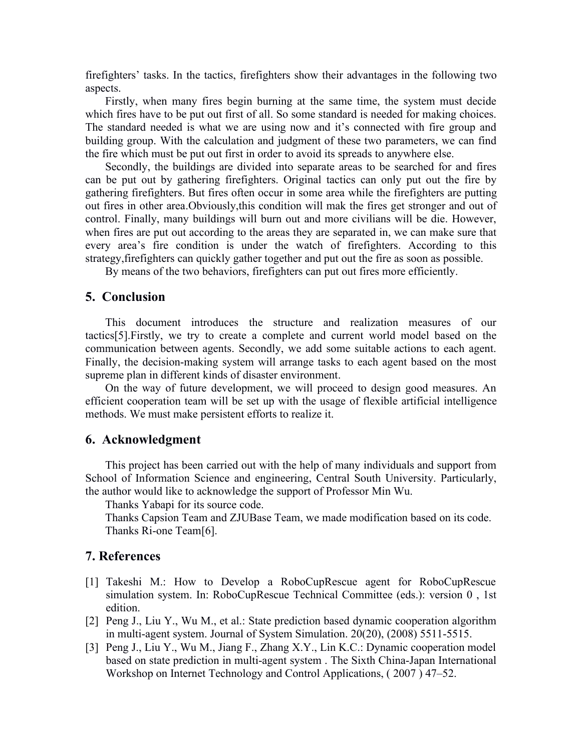firefighters' tasks. In the tactics, firefighters show their advantages in the following two aspects.

Firstly, when many fires begin burning at the same time, the system must decide which fires have to be put out first of all. So some standard is needed for making choices. The standard needed is what we are using now and it's connected with fire group and building group. With the calculation and judgment of these two parameters, we can find the fire which must be put out first in order to avoid its spreads to anywhere else.

Secondly, the buildings are divided into separate areas to be searched for and fires can be put out by gathering firefighters. Original tactics can only put out the fire by gathering firefighters. But fires often occur in some area while the firefighters are putting out fires in other area.Obviously,this condition will mak the fires get stronger and out of control. Finally, many buildings will burn out and more civilians will be die. However, when fires are put out according to the areas they are separated in, we can make sure that every area's fire condition is under the watch of firefighters. According to this strategy,firefighters can quickly gather together and put out the fire as soon as possible.

By means of the two behaviors, firefighters can put out fires more efficiently.

## **5. Conclusion**

This document introduces the structure and realization measures of our tactics[5].Firstly, we try to create a complete and current world model based on the communication between agents. Secondly, we add some suitable actions to each agent. Finally, the decision-making system will arrange tasks to each agent based on the most supreme plan in different kinds of disaster environment.

On the way of future development, we will proceed to design good measures. An efficient cooperation team will be set up with the usage of flexible artificial intelligence methods. We must make persistent efforts to realize it.

### **6. Acknowledgment**

This project has been carried out with the help of many individuals and support from School of Information Science and engineering, Central South University. Particularly, the author would like to acknowledge the support of Professor Min Wu.

Thanks Yabapi for its source code.

Thanks Capsion Team and ZJUBase Team, we made modification based on its code. Thanks Ri-one Team[6].

### **7. References**

- [1] Takeshi M.: How to Develop a RoboCupRescue agent for RoboCupRescue simulation system. In: RoboCupRescue Technical Committee (eds.): version 0 , 1st edition.
- [2] Peng J., Liu Y., Wu M., et al.: State prediction based dynamic cooperation algorithm in multi-agent system. Journal of System Simulation. 20(20), (2008) 5511-5515.
- [3] Peng J., Liu Y., Wu M., Jiang F., Zhang X.Y., Lin K.C.: Dynamic cooperation model based on state prediction in multi-agent system . The Sixth China-Japan International Workshop on Internet Technology and Control Applications, ( 2007 ) 47–52.